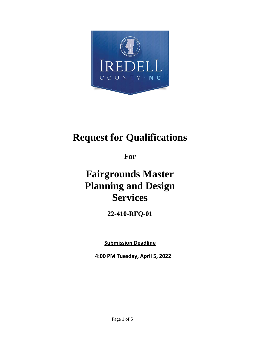

# **Request for Qualifications**

**For**

# **Fairgrounds Master Planning and Design Services**

**22-410-RFQ-01**

**Submission Deadline**

**4:00 PM Tuesday, April 5, 2022**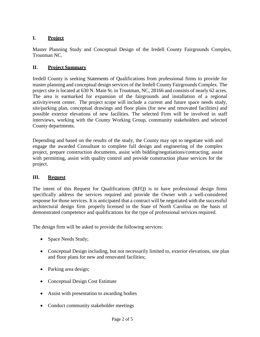## **I. Project**

Master Planning Study and Conceptual Design of the Iredell County Fairgrounds Complex, Troutman NC.

## **II. Project Summary**

Iredell County is seeking Statements of Qualifications from professional firms to provide for master planning and conceptual design services of the Iredell County Fairgrounds Complex. The project site is located at 630 N. Main St. in Troutman, NC, 28166 and consists of nearly 62 acres. The area is earmarked for expansion of the fairgrounds and installation of a regional activity/event center. The project scope will include a current and future space needs study, site/parking plan, conceptual drawings and floor plans (for new and renovated facilities) and possible exterior elevations of new facilities. The selected Firm will be involved in staff interviews, working with the County Working Group, community stakeholders and selected County departments.

Depending and based on the results of the study, the County may opt to negotiate with and engage the awarded Consultant to complete full design and engineering of the complex project, prepare construction documents, assist with bidding/negotiations/contracting, assist with permitting, assist with quality control and provide construction phase services for the project.

## **III. Request**

The intent of this Request for Qualifications (RFQ) is to have professional design firms specifically address the services required and provide the Owner with a well-considered response for those services. It is anticipated that a contract will be negotiated with the successful architectural design firm properly licensed in the State of North Carolina on the basis of demonstrated competence and qualifications for the type of professional services required.

The design firm will be asked to provide the following services:

- Space Needs Study;
- Conceptual Design including, but not necessarily limited to, exterior elevations, site plan and floor plans for new and renovated facilities;
- Parking area design;
- Conceptual Design Cost Estimate
- Assist with presentation to awarding bodies
- Conduct community stakeholder meetings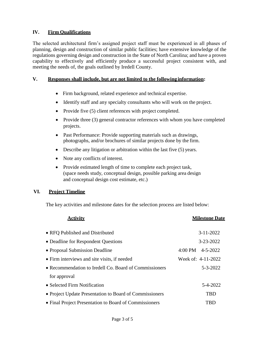#### **IV. Firm Qualifications**

The selected architectural firm's assigned project staff must be experienced in all phases of planning, design and construction of similar public facilities; have extensive knowledge of the regulations governing design and construction in the State of North Carolina; and have a proven capability to effectively and efficiently produce a successful project consistent with, and meeting the needs of, the goals outlined by Iredell County.

#### **V. Responses shall include, but are not limited to the following information:**

- Firm background, related experience and technical expertise.
- Identify staff and any specialty consultants who will work on the project.
- Provide five (5) client references with project completed.
- Provide three (3) general contractor references with whom you have completed projects.
- Past Performance: Provide supporting materials such as drawings, photographs, and/or brochures of similar projects done by the firm.
- Describe any litigation or arbitration within the last five (5) years.
- Note any conflicts of interest.
- Provide estimated length of time to complete each project task, (space needs study, conceptual design, possible parking area design and conceptual design cost estimate, etc.)

#### **VI. Project Timeline**

The key activities and milestone dates for the selection process are listed below:

| <b>Activity</b>                                         | <b>Milestone Date</b>        |
|---------------------------------------------------------|------------------------------|
| • RFO Published and Distributed                         | $3 - 11 - 2022$              |
| • Deadline for Respondent Questions                     | 3-23-2022                    |
| • Proposal Submission Deadline                          | $4:00 \text{ PM}$ $4-5-2022$ |
| • Firm interviews and site visits, if needed            | Week of: 4-11-2022           |
| • Recommendation to Iredell Co. Board of Commissioners  | $5 - 3 - 2022$               |
| for approval                                            |                              |
| • Selected Firm Notification                            | 5-4-2022                     |
| • Project Update Presentation to Board of Commissioners | <b>TBD</b>                   |
| • Final Project Presentation to Board of Commissioners  | TBD                          |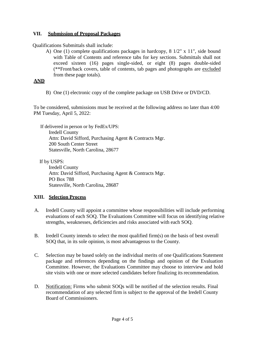#### **VII. Submission of Proposal Packages**

Qualifications Submittals shall include:

A) One (1) complete qualifications packages in hardcopy, 8 1/2" x 11", side bound with Table of Contents and reference tabs for key sections. Submittals shall not exceed sixteen (16) pages single-sided, or eight (8) pages double-sided (\*\*Front/back covers, table of contents, tab pages and photographs are excluded from these page totals).

#### **AND**

B) One (1) electronic copy of the complete package on USB Drive or DVD/CD.

To be considered, submissions must be received at the following address no later than 4:00 PM Tuesday, April 5, 2022:

If delivered in person or by FedEx/UPS: Iredell County Attn: David Sifford, Purchasing Agent & Contracts Mgr. 200 South Center Street Statesville, North Carolina, 28677

If by USPS:

Iredell County Attn: David Sifford, Purchasing Agent & Contracts Mgr. PO Box 788 Statesville, North Carolina, 28687

#### **XIII. Selection Process**

- A. Iredell County will appoint a committee whose responsibilities will include performing evaluations of each SOQ. The Evaluations Committee will focus on identifying relative strengths, weaknesses, deficiencies and risks associated with each SOQ.
- B. Iredell County intends to select the most qualified firm(s) on the basis of best overall SOQ that, in its sole opinion, is most advantageous to the County.
- C. Selection may be based solely on the individual merits of one Qualifications Statement package and references depending on the findings and opinion of the Evaluation Committee. However, the Evaluations Committee may choose to interview and hold site visits with one or more selected candidates before finalizing itsrecommendation.
- D. Notification: Firms who submit SOQs will be notified of the selection results. Final recommendation of any selected firm is subject to the approval of the Iredell County Board of Commissioners.